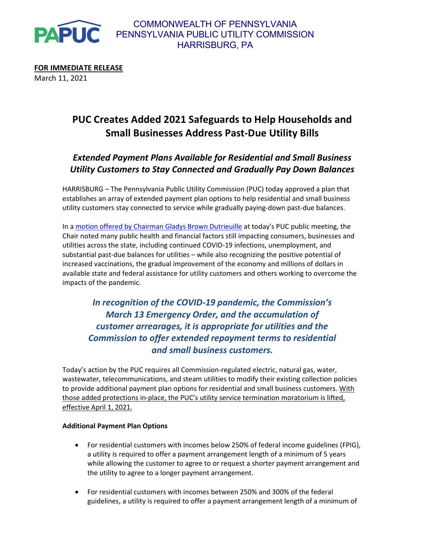

FOR IMMEDIATE RELEASE March 11, 2021

# PUC Creates Added 2021 Safeguards to Help Households and Small Businesses Address Past-Due Utility Bills

## Extended Payment Plans Available for Residential and Small Business Utility Customers to Stay Connected and Gradually Pay Down Balances

HARRISBURG – The Pennsylvania Public Utility Commission (PUC) today approved a plan that establishes an array of extended payment plan options to help residential and small business utility customers stay connected to service while gradually paying-down past-due balances.

In a motion offered by Chairman Gladys Brown Dutrieuille at today's PUC public meeting, the Chair noted many public health and financial factors still impacting consumers, businesses and utilities across the state, including continued COVID-19 infections, unemployment, and substantial past-due balances for utilities – while also recognizing the positive potential of increased vaccinations, the gradual improvement of the economy and millions of dollars in available state and federal assistance for utility customers and others working to overcome the impacts of the pandemic.

In recognition of the COVID-19 pandemic, the Commission's March 13 Emergency Order, and the accumulation of customer arrearages, it is appropriate for utilities and the Commission to offer extended repayment terms to residential and small business customers.

Today's action by the PUC requires all Commission-regulated electric, natural gas, water, wastewater, telecommunications, and steam utilities to modify their existing collection policies to provide additional payment plan options for residential and small business customers. With those added protections in-place, the PUC's utility service termination moratorium is lifted, effective April 1, 2021.

### Additional Payment Plan Options

- For residential customers with incomes below 250% of federal income guidelines (FPIG), a utility is required to offer a payment arrangement length of a minimum of 5 years while allowing the customer to agree to or request a shorter payment arrangement and the utility to agree to a longer payment arrangement.
- For residential customers with incomes between 250% and 300% of the federal guidelines, a utility is required to offer a payment arrangement length of a minimum of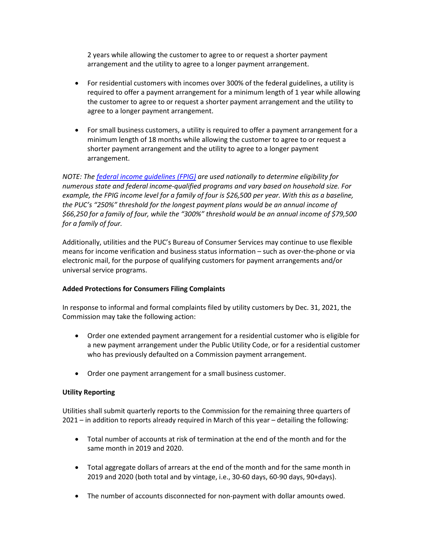2 years while allowing the customer to agree to or request a shorter payment arrangement and the utility to agree to a longer payment arrangement.

- For residential customers with incomes over 300% of the federal guidelines, a utility is required to offer a payment arrangement for a minimum length of 1 year while allowing the customer to agree to or request a shorter payment arrangement and the utility to agree to a longer payment arrangement.
- For small business customers, a utility is required to offer a payment arrangement for a minimum length of 18 months while allowing the customer to agree to or request a shorter payment arrangement and the utility to agree to a longer payment arrangement.

NOTE: The federal income guidelines (FPIG) are used nationally to determine eligibility for numerous state and federal income-qualified programs and vary based on household size. For example, the FPIG income level for a family of four is \$26,500 per year. With this as a baseline, the PUC's "250%" threshold for the longest payment plans would be an annual income of \$66,250 for a family of four, while the "300%" threshold would be an annual income of \$79,500 for a family of four.

Additionally, utilities and the PUC's Bureau of Consumer Services may continue to use flexible means for income verification and business status information – such as over-the-phone or via electronic mail, for the purpose of qualifying customers for payment arrangements and/or universal service programs.

#### Added Protections for Consumers Filing Complaints

In response to informal and formal complaints filed by utility customers by Dec. 31, 2021, the Commission may take the following action:

- Order one extended payment arrangement for a residential customer who is eligible for a new payment arrangement under the Public Utility Code, or for a residential customer who has previously defaulted on a Commission payment arrangement.
- Order one payment arrangement for a small business customer.

#### Utility Reporting

Utilities shall submit quarterly reports to the Commission for the remaining three quarters of 2021 – in addition to reports already required in March of this year – detailing the following:

- Total number of accounts at risk of termination at the end of the month and for the same month in 2019 and 2020.
- Total aggregate dollars of arrears at the end of the month and for the same month in 2019 and 2020 (both total and by vintage, i.e., 30-60 days, 60-90 days, 90+days).
- The number of accounts disconnected for non-payment with dollar amounts owed.